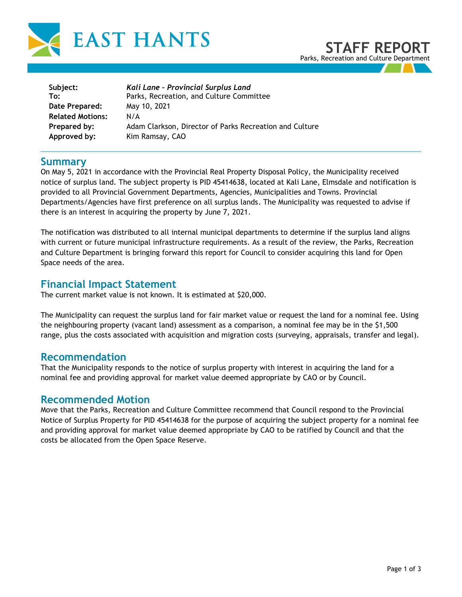

| Subject:                | Kali Lane - Provincial Surplus Land                     |
|-------------------------|---------------------------------------------------------|
| To:                     | Parks, Recreation, and Culture Committee                |
| Date Prepared:          | May 10, 2021                                            |
| <b>Related Motions:</b> | N/A                                                     |
| Prepared by:            | Adam Clarkson, Director of Parks Recreation and Culture |
| Approved by:            | Kim Ramsay, CAO                                         |

### **Summary**

On May 5, 2021 in accordance with the Provincial Real Property Disposal Policy, the Municipality received notice of surplus land. The subject property is PID 45414638, located at Kali Lane, Elmsdale and notification is provided to all Provincial Government Departments, Agencies, Municipalities and Towns. Provincial Departments/Agencies have first preference on all surplus lands. The Municipality was requested to advise if there is an interest in acquiring the property by June 7, 2021.

The notification was distributed to all internal municipal departments to determine if the surplus land aligns with current or future municipal infrastructure requirements. As a result of the review, the Parks, Recreation and Culture Department is bringing forward this report for Council to consider acquiring this land for Open Space needs of the area.

## **Financial Impact Statement**

The current market value is not known. It is estimated at \$20,000.

The Municipality can request the surplus land for fair market value or request the land for a nominal fee. Using the neighbouring property (vacant land) assessment as a comparison, a nominal fee may be in the \$1,500 range, plus the costs associated with acquisition and migration costs (surveying, appraisals, transfer and legal).

## **Recommendation**

That the Municipality responds to the notice of surplus property with interest in acquiring the land for a nominal fee and providing approval for market value deemed appropriate by CAO or by Council.

### **Recommended Motion**

Move that the Parks, Recreation and Culture Committee recommend that Council respond to the Provincial Notice of Surplus Property for PID 45414638 for the purpose of acquiring the subject property for a nominal fee and providing approval for market value deemed appropriate by CAO to be ratified by Council and that the costs be allocated from the Open Space Reserve.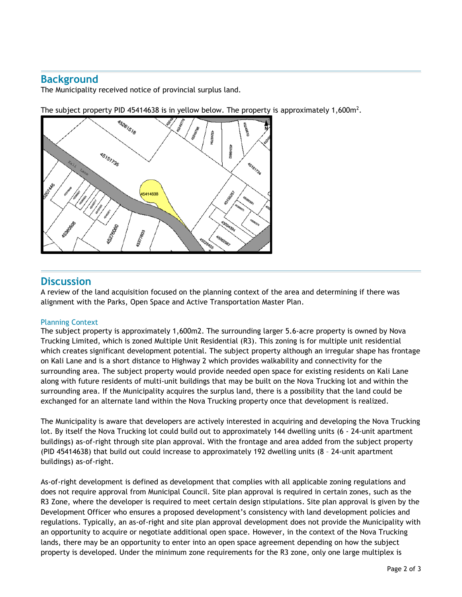# **Background**

The Municipality received notice of provincial surplus land.

The subject property PID 45414638 is in yellow below. The property is approximately 1,600 $m^2$ .



# **Discussion**

A review of the land acquisition focused on the planning context of the area and determining if there was alignment with the Parks, Open Space and Active Transportation Master Plan.

#### Planning Context

The subject property is approximately 1,600m2. The surrounding larger 5.6-acre property is owned by Nova Trucking Limited, which is zoned Multiple Unit Residential (R3). This zoning is for multiple unit residential which creates significant development potential. The subject property although an irregular shape has frontage on Kali Lane and is a short distance to Highway 2 which provides walkability and connectivity for the surrounding area. The subject property would provide needed open space for existing residents on Kali Lane along with future residents of multi-unit buildings that may be built on the Nova Trucking lot and within the surrounding area. If the Municipality acquires the surplus land, there is a possibility that the land could be exchanged for an alternate land within the Nova Trucking property once that development is realized.

The Municipality is aware that developers are actively interested in acquiring and developing the Nova Trucking lot. By itself the Nova Trucking lot could build out to approximately 144 dwelling units (6 - 24-unit apartment buildings) as-of-right through site plan approval. With the frontage and area added from the subject property (PID 45414638) that build out could increase to approximately 192 dwelling units (8 – 24-unit apartment buildings) as-of-right.

As-of-right development is defined as development that complies with all applicable zoning regulations and does not require approval from Municipal Council. Site plan approval is required in certain zones, such as the R3 Zone, where the developer is required to meet certain design stipulations. Site plan approval is given by the Development Officer who ensures a proposed development's consistency with land development policies and regulations. Typically, an as-of-right and site plan approval development does not provide the Municipality with an opportunity to acquire or negotiate additional open space. However, in the context of the Nova Trucking lands, there may be an opportunity to enter into an open space agreement depending on how the subject property is developed. Under the minimum zone requirements for the R3 zone, only one large multiplex is